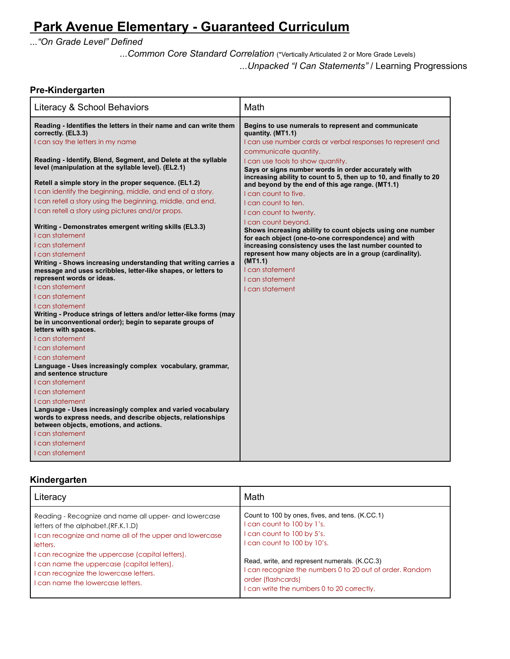# **Park Avenue Elementary - Guaranteed Curriculum**

*..."On Grade Level" Defined*

*...Common Core Standard Correlation* (\*Vertically Articulated 2 or More Grade Levels)

*...Unpacked "I Can Statements"* / Learning Progressions

#### **Pre-Kindergarten**

| Literacy & School Behaviors                                                                                                                                                                                                                                                                                                                                                                                                                                                                                                                                                                                                                                                                                                                                                                                                                                                                                                                                                                                                                                                                                                                                                                                                                                                                                                                                                                                                                       | Math                                                                                                                                                                                                                                                                                                                                                                                                                                                                                                                                                                                                                                                                                                                                                                                                   |
|---------------------------------------------------------------------------------------------------------------------------------------------------------------------------------------------------------------------------------------------------------------------------------------------------------------------------------------------------------------------------------------------------------------------------------------------------------------------------------------------------------------------------------------------------------------------------------------------------------------------------------------------------------------------------------------------------------------------------------------------------------------------------------------------------------------------------------------------------------------------------------------------------------------------------------------------------------------------------------------------------------------------------------------------------------------------------------------------------------------------------------------------------------------------------------------------------------------------------------------------------------------------------------------------------------------------------------------------------------------------------------------------------------------------------------------------------|--------------------------------------------------------------------------------------------------------------------------------------------------------------------------------------------------------------------------------------------------------------------------------------------------------------------------------------------------------------------------------------------------------------------------------------------------------------------------------------------------------------------------------------------------------------------------------------------------------------------------------------------------------------------------------------------------------------------------------------------------------------------------------------------------------|
| Reading - Identifies the letters in their name and can write them<br>correctly. (EL3.3)<br>I can say the letters in my name<br>Reading - Identify, Blend, Segment, and Delete at the syllable<br>level (manipulation at the syllable level). (EL2.1)<br>Retell a simple story in the proper sequence. (EL1.2)<br>I can identify the beginning, middle, and end of a story.<br>I can retell a story using the beginning, middle, and end.<br>I can retell a story using pictures and/or props.<br>Writing - Demonstrates emergent writing skills (EL3.3)<br>I can statement<br>I can statement<br><b>Lcan statement</b><br>Writing - Shows increasing understanding that writing carries a<br>message and uses scribbles, letter-like shapes, or letters to<br>represent words or ideas.<br>I can statement<br>I can statement<br>I can statement<br>Writing - Produce strings of letters and/or letter-like forms (may<br>be in unconventional order); begin to separate groups of<br>letters with spaces.<br>I can statement<br>I can statement<br>I can statement<br>Language - Uses increasingly complex vocabulary, grammar,<br>and sentence structure<br>Lcan statement<br>Lcan statement<br>Lcan statement<br>Language - Uses increasingly complex and varied vocabulary<br>words to express needs, and describe objects, relationships<br>between objects, emotions, and actions.<br>I can statement<br>I can statement<br>I can statement | Begins to use numerals to represent and communicate<br>quantity. (MT1.1)<br>I can use number cards or verbal responses to represent and<br>communicate quantity.<br>I can use tools to show quantity.<br>Says or signs number words in order accurately with<br>increasing ability to count to 5, then up to 10, and finally to 20<br>and beyond by the end of this age range. (MT1.1)<br>I can count to five.<br>I can count to ten.<br>I can count to twenty.<br>I can count beyond.<br>Shows increasing ability to count objects using one number<br>for each object (one-to-one correspondence) and with<br>increasing consistency uses the last number counted to<br>represent how many objects are in a group (cardinality).<br>(MT1.1)<br>I can statement<br>I can statement<br>I can statement |

### **Kindergarten**

| Literacy                                                                                                                                                                                                                                                                                                        | Math                                                                                                                                                                                                                                              |
|-----------------------------------------------------------------------------------------------------------------------------------------------------------------------------------------------------------------------------------------------------------------------------------------------------------------|---------------------------------------------------------------------------------------------------------------------------------------------------------------------------------------------------------------------------------------------------|
| Reading - Recognize and name all upper- and lowercase<br>letters of the alphabet.(RF.K.1.D)<br>I can recognize and name all of the upper and lowercase<br>letters.<br>I can recognize the uppercase (capital letters).<br>I can name the uppercase (capital letters).<br>I can recognize the lowercase letters. | Count to 100 by ones, fives, and tens. (K.CC.1)<br>can count to 100 by 1's.<br>can count to 100 by 5's.<br>can count to 100 by 10's.<br>Read, write, and represent numerals. (K.CC.3)<br>I can recognize the numbers 0 to 20 out of order. Random |
| I can name the lowercase letters.                                                                                                                                                                                                                                                                               | order (flashcards)<br>I can write the numbers 0 to 20 correctly.                                                                                                                                                                                  |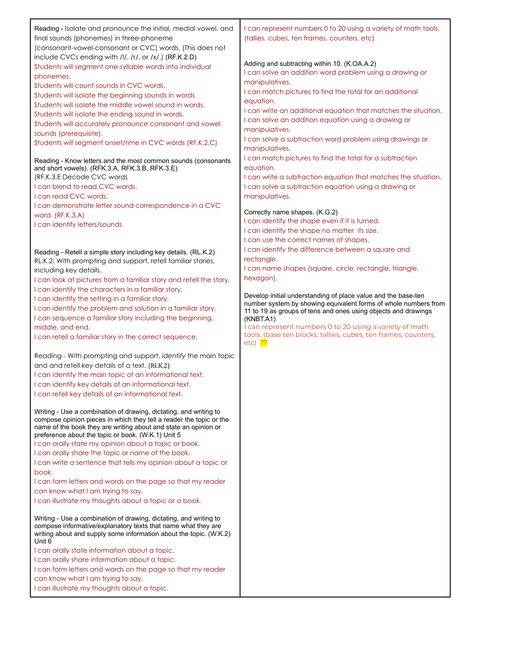| Reading - Isolate and pronounce the initial, medial vowel, and<br>final sounds (phonemes) in three-phoneme<br>(consonant-vowel-consonant or CVC) words. (This does not                                                                                                                                                                                                                                                                                                                                                                                                                                                                                                                                                                                                                                                                                                                                                                                                                                                                                                                         | I can represent numbers 0 to 20 using a variety of math tools.<br>(tallies, cubes, ten frames, counters, etc)                                                                                                                                                                                                                                                                                                                                                                                                                                                                                                                                                                                                                         |
|------------------------------------------------------------------------------------------------------------------------------------------------------------------------------------------------------------------------------------------------------------------------------------------------------------------------------------------------------------------------------------------------------------------------------------------------------------------------------------------------------------------------------------------------------------------------------------------------------------------------------------------------------------------------------------------------------------------------------------------------------------------------------------------------------------------------------------------------------------------------------------------------------------------------------------------------------------------------------------------------------------------------------------------------------------------------------------------------|---------------------------------------------------------------------------------------------------------------------------------------------------------------------------------------------------------------------------------------------------------------------------------------------------------------------------------------------------------------------------------------------------------------------------------------------------------------------------------------------------------------------------------------------------------------------------------------------------------------------------------------------------------------------------------------------------------------------------------------|
| include CVCs ending with /l/, /r/, or /x/.) (RF.K.2.D)<br>Students will segment one-syllable words into individual<br>phonemes.<br>Students will count sounds in CVC words.<br>Students will isolate the beginning sounds in words<br>Students will isolate the middle vowel sound in words.<br>Students will isolate the ending sound in words.<br>Students will accurately pronounce consonant and vowel<br>sounds (prerequisite).<br>Students will segment onset/rime in CVC words (RF.K.2.C)<br>Reading - Know letters and the most common sounds (consonants<br>and short vowels). (RFK.3.A, RFK.3.B, RFK.3.E)<br>(RF.K.3.E Decode CVC words<br>I can blend to read CVC words.<br>I can read CVC words.<br>I can demonstrate letter sound correspondence in a CVC<br>word. (RF.K.3.A)<br>I can identify letters/sounds                                                                                                                                                                                                                                                                    | Adding and subtracting within 10. (K.OA.A.2)<br>I can solve an addition word problem using a drawing or<br>manipulatives.<br>I can match pictures to find the total for an additional<br>equation.<br>I can write an additional equation that matches the situation.<br>I can solve an addition equation using a drawing or<br>manipulatives.<br>I can solve a subtraction word problem using drawings or<br>manipulatives.<br>I can match pictures to find the total for a subtraction<br>equation.<br>I can write a subtraction equation that matches the situation.<br>I can solve a subtraction equation using a drawing or<br>manipulatives.<br>Correctly name shapes. (K.G.2)<br>I can identify the shape even if it is turned. |
| Reading - Retell a simple story including key details. (RL.K.2)<br>RL.K.2: With prompting and support, retell familiar stories,<br>including key details.<br>I can look at pictures from a familiar story and retell the story.<br>I can identify the characters in a familiar story.<br>I can identify the setting in a familiar story.<br>I can identify the problem and solution in a familiar story.<br>I can sequence a familiar story including the beginning,<br>middle, and end.<br>I can retell a familiar story in the correct sequence.<br>Reading - With prompting and support, identify the main topic<br>and and retell key details of a text. (RI.K.2)<br>I can identify the main topic of an informational text.<br>I can identify key details of an informational text.<br>I can retell key details of an informational text.                                                                                                                                                                                                                                                 | I can identify the shape no matter its size.<br>I can use the correct names of shapes.<br>I can identify the difference between a square and<br>rectangle.<br>I can name shapes (square, circle, rectangle, triangle,<br>hexagon).<br>Develop initial understanding of place value and the base-ten<br>number system by showing equivalent forms of whole numbers from<br>11 to 19 as groups of tens and ones using objects and drawings<br>(KNBT.A1)<br>I can represent numbers 0 to 20 using a variety of math<br>tools. (base ten blocks, tallies, cubes, ten frames, counters,<br>etc) ??                                                                                                                                         |
| Writing - Use a combination of drawing, dictating, and writing to<br>compose opinion pieces in which they tell a reader the topic or the<br>name of the book they are writing about and state an opinion or<br>preference about the topic or book. (W.K.1) Unit 5<br>I can orally state my opinion about a topic or book.<br>I can orally share the topic or name of the book.<br>I can write a sentence that tells my opinion about a topic or<br>book.<br>I can form letters and words on the page so that my reader<br>can know what I am trying to say.<br>I can illustrate my thoughts about a topic or a book.<br>Writing - Use a combination of drawing, dictating, and writing to<br>compose informative/explanatory texts that name what they are<br>writing about and supply some information about the topic. (W.K.2)<br>Unit 6<br>I can orally state information about a topic.<br>I can orally share information about a topic.<br>I can form letters and words on the page so that my reader<br>can know what I am trying to say.<br>I can illustrate my thoughts about a topic. |                                                                                                                                                                                                                                                                                                                                                                                                                                                                                                                                                                                                                                                                                                                                       |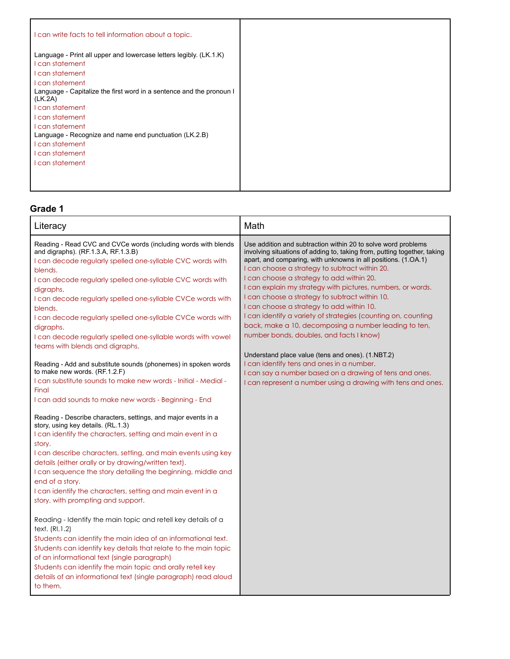| I can write facts to tell information about a topic.                                                                                                                                                                                                                                                                                                                                      |  |
|-------------------------------------------------------------------------------------------------------------------------------------------------------------------------------------------------------------------------------------------------------------------------------------------------------------------------------------------------------------------------------------------|--|
| Language - Print all upper and lowercase letters legibly. (LK.1.K)<br>Lcan statement<br>I can statement<br>I can statement<br>Language - Capitalize the first word in a sentence and the pronoun I<br>(LK.2A)<br>I can statement<br>I can statement<br>I can statement<br>Language - Recognize and name end punctuation (LK.2.B)<br>I can statement<br>I can statement<br>I can statement |  |
|                                                                                                                                                                                                                                                                                                                                                                                           |  |

| Literacy                                                                                                                                                                                                                                                                                                                                                                                                                                                                                                                                                                                                                                                                                                                                                                                                                                                                                                                                                                                                                                                                                                                                                                                                                                                                                                                                                                                                                                                                                                                                                                                                                                                                  | Math                                                                                                                                                                                                                                                                                                                                                                                                                                                                                                                                                                                                                                                                                                                                                                                                                                                                        |
|---------------------------------------------------------------------------------------------------------------------------------------------------------------------------------------------------------------------------------------------------------------------------------------------------------------------------------------------------------------------------------------------------------------------------------------------------------------------------------------------------------------------------------------------------------------------------------------------------------------------------------------------------------------------------------------------------------------------------------------------------------------------------------------------------------------------------------------------------------------------------------------------------------------------------------------------------------------------------------------------------------------------------------------------------------------------------------------------------------------------------------------------------------------------------------------------------------------------------------------------------------------------------------------------------------------------------------------------------------------------------------------------------------------------------------------------------------------------------------------------------------------------------------------------------------------------------------------------------------------------------------------------------------------------------|-----------------------------------------------------------------------------------------------------------------------------------------------------------------------------------------------------------------------------------------------------------------------------------------------------------------------------------------------------------------------------------------------------------------------------------------------------------------------------------------------------------------------------------------------------------------------------------------------------------------------------------------------------------------------------------------------------------------------------------------------------------------------------------------------------------------------------------------------------------------------------|
| Reading - Read CVC and CVCe words (including words with blends<br>and digraphs). (RF.1.3.A, RF.1.3.B)<br>I can decode regularly spelled one-syllable CVC words with<br>blends.<br>I can decode regularly spelled one-syllable CVC words with<br>digraphs.<br>I can decode regularly spelled one-syllable CVCe words with<br>blends.<br>I can decode regularly spelled one-syllable CVCe words with<br>digraphs.<br>I can decode regularly spelled one-syllable words with vowel<br>teams with blends and digraphs.<br>Reading - Add and substitute sounds (phonemes) in spoken words<br>to make new words. (RF.1.2.F)<br>I can substitute sounds to make new words - Initial - Medial -<br>Final<br>I can add sounds to make new words - Beginning - End<br>Reading - Describe characters, settings, and major events in a<br>story, using key details. (RL.1.3)<br>I can identify the characters, setting and main event in a<br>story.<br>I can describe characters, setting, and main events using key<br>details (either orally or by drawing/written text).<br>I can sequence the story detailing the beginning, middle and<br>end of a story.<br>I can identify the characters, setting and main event in a<br>story, with prompting and support.<br>Reading - Identify the main topic and retell key details of a<br>text. (RI.1.2)<br>Students can identify the main idea of an informational text.<br>Students can identify key details that relate to the main topic<br>of an informational text (single paragraph)<br>Students can identify the main topic and orally retell key<br>details of an informational text (single paragraph) read aloud<br>to them. | Use addition and subtraction within 20 to solve word problems<br>involving situations of adding to, taking from, putting together, taking<br>apart, and comparing, with unknowns in all positions. (1.0A.1)<br>I can choose a strategy to subtract within 20.<br>I can choose a strategy to add within 20.<br>I can explain my strategy with pictures, numbers, or words.<br>I can choose a strategy to subtract within 10.<br>I can choose a strategy to add within 10.<br>I can identify a variety of strategies (counting on, counting<br>back, make a 10, decomposing a number leading to ten,<br>number bonds, doubles, and facts I know)<br>Understand place value (tens and ones). (1.NBT.2)<br>I can identify tens and ones in a number.<br>I can say a number based on a drawing of tens and ones.<br>I can represent a number using a drawing with tens and ones. |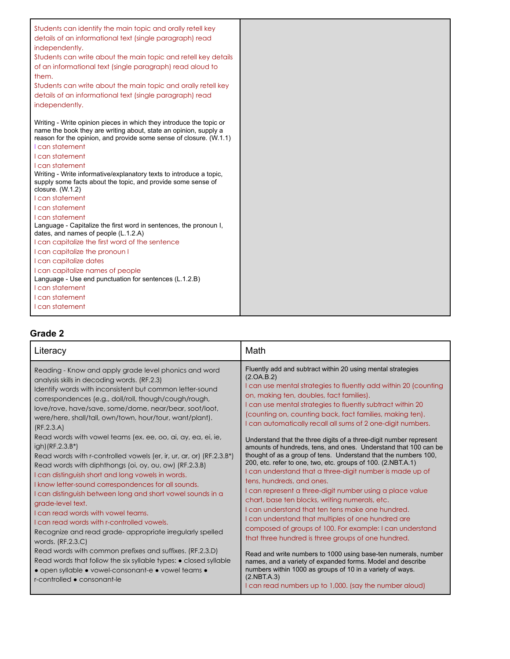| independently.<br>Students can write about the main topic and retell key details<br>of an informational text (single paragraph) read aloud to<br>them.<br>Students can write about the main topic and orally retell key<br>details of an informational text (single paragraph) read<br>independently. |
|-------------------------------------------------------------------------------------------------------------------------------------------------------------------------------------------------------------------------------------------------------------------------------------------------------|
| Writing - Write opinion pieces in which they introduce the topic or<br>name the book they are writing about, state an opinion, supply a<br>reason for the opinion, and provide some sense of closure. (W.1.1)<br><b>Lcan statement</b>                                                                |
| <b>Lcan statement</b><br><b>Lcan statement</b>                                                                                                                                                                                                                                                        |
| Writing - Write informative/explanatory texts to introduce a topic.<br>supply some facts about the topic, and provide some sense of<br>closure. $(W.1.2)$                                                                                                                                             |
| <b>Lcan statement</b>                                                                                                                                                                                                                                                                                 |
| <b>Lcan statement</b>                                                                                                                                                                                                                                                                                 |
| <b>Lcan statement</b><br>Language - Capitalize the first word in sentences, the pronoun I,<br>dates, and names of people (L.1.2.A)                                                                                                                                                                    |
| I can capitalize the first word of the sentence                                                                                                                                                                                                                                                       |
| I can capitalize the pronoun I                                                                                                                                                                                                                                                                        |
| I can capitalize dates                                                                                                                                                                                                                                                                                |
| I can capitalize names of people                                                                                                                                                                                                                                                                      |
| Language - Use end punctuation for sentences (L.1.2.B)<br><b>Lcan statement</b>                                                                                                                                                                                                                       |
| <b>Lcan statement</b>                                                                                                                                                                                                                                                                                 |
| I can statement                                                                                                                                                                                                                                                                                       |

| Literacy                                                                                                                                                                                                                                                                                                                                                                                                                                                                                                                                                                                                                                                                                                                                                                                                                                                                                                                                                   | Math                                                                                                                                                                                                                                                                                                                                                                                                                                                                                                                                                                                                                                                                                                                                                                                                                                                                                                                                                                                                                                                                                             |
|------------------------------------------------------------------------------------------------------------------------------------------------------------------------------------------------------------------------------------------------------------------------------------------------------------------------------------------------------------------------------------------------------------------------------------------------------------------------------------------------------------------------------------------------------------------------------------------------------------------------------------------------------------------------------------------------------------------------------------------------------------------------------------------------------------------------------------------------------------------------------------------------------------------------------------------------------------|--------------------------------------------------------------------------------------------------------------------------------------------------------------------------------------------------------------------------------------------------------------------------------------------------------------------------------------------------------------------------------------------------------------------------------------------------------------------------------------------------------------------------------------------------------------------------------------------------------------------------------------------------------------------------------------------------------------------------------------------------------------------------------------------------------------------------------------------------------------------------------------------------------------------------------------------------------------------------------------------------------------------------------------------------------------------------------------------------|
| Reading - Know and apply grade level phonics and word<br>analysis skills in decoding words. (RF.2.3)<br>Identify words with inconsistent but common letter-sound<br>correspondences (e.g., doll/roll, though/cough/rough,<br>love/rove, have/save, some/dome, near/bear, soot/loot,<br>were/here, shall/tall, own/town, hour/tour, want/plant).<br>(RF.2.3.A)<br>Read words with vowel teams (ex. ee, oo, ai, ay, ea, ei, ie,<br>$iqh$ (RF.2.3.B*)<br>Read words with r-controlled vowels (er, ir, ur, ar, or) (RF.2.3.B*)<br>Read words with diphthongs (oi, oy, ou, ow) (RF.2.3.B)<br>I can distinguish short and long vowels in words.<br>I know letter-sound correspondences for all sounds.<br>I can distinguish between long and short vowel sounds in a<br>grade-level text.<br>I can read words with yowel teams.<br>I can read words with r-controlled vowels.<br>Recognize and read grade-appropriate irregularly spelled<br>words. $(RF.2.3.C)$ | Fluently add and subtract within 20 using mental strategies<br>(2.0A.B.2)<br>I can use mental strategies to fluently add within 20 (counting<br>on, making ten, doubles, fact families).<br>I can use mental strategies to fluently subtract within 20<br>(counting on, counting back, fact families, making ten).<br>I can automatically recall all sums of 2 one-digit numbers.<br>Understand that the three digits of a three-digit number represent<br>amounts of hundreds, tens, and ones. Understand that 100 can be<br>thought of as a group of tens. Understand that the numbers 100,<br>200, etc. refer to one, two, etc. groups of 100. (2.NBT.A.1)<br>I can understand that a three-digit number is made up of<br>tens, hundreds, and ones.<br>I can represent a three-digit number using a place value<br>chart, base ten blocks, writing numerals, etc.<br>I can understand that ten tens make one hundred.<br>I can understand that multiples of one hundred are<br>composed of groups of 100. For example: I can understand<br>that three hundred is three groups of one hundred. |
| Read words with common prefixes and suffixes. (RF.2.3.D)<br>Read words that follow the six syllable types: • closed syllable<br>• open syllable • vowel-consonant-e • vowel teams •<br>r-controlled • consonant-le                                                                                                                                                                                                                                                                                                                                                                                                                                                                                                                                                                                                                                                                                                                                         | Read and write numbers to 1000 using base-ten numerals, number<br>names, and a variety of expanded forms. Model and describe<br>numbers within 1000 as groups of 10 in a variety of ways.<br>(2.NBT.A.3)<br>I can read numbers up to 1,000. (say the number aloud)                                                                                                                                                                                                                                                                                                                                                                                                                                                                                                                                                                                                                                                                                                                                                                                                                               |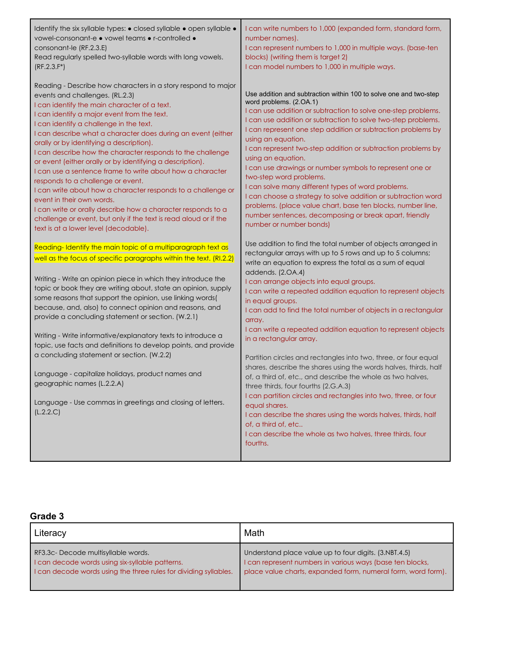| Identify the six syllable types: • closed syllable • open syllable •<br>vowel-consonant-e • vowel teams • r-controlled •<br>consonant-le (RF.2.3.E)<br>Read regularly spelled two-syllable words with long vowels.<br>$(RF.2.3.F^*)$                                                                                                                                                                                                                                                                                                                                                                                                                                                                                                                                                                                                                                                                                                                                                                                                                                                                                                                                                                                                                                                                                                                                                                                                                                                                                                                                                   | I can write numbers to 1,000 (expanded form, standard form,<br>number names).<br>I can represent numbers to 1,000 in multiple ways. (base-ten<br>blocks) (writing them is target 2)<br>I can model numbers to 1,000 in multiple ways.                                                                                                                                                                                                                                                                                                                                                                                                                                                                                                                                                                                                                                                                                                                                                                                                                                                                                                                                                                                                                                                                                                                                                                                                                                                                                                             |
|----------------------------------------------------------------------------------------------------------------------------------------------------------------------------------------------------------------------------------------------------------------------------------------------------------------------------------------------------------------------------------------------------------------------------------------------------------------------------------------------------------------------------------------------------------------------------------------------------------------------------------------------------------------------------------------------------------------------------------------------------------------------------------------------------------------------------------------------------------------------------------------------------------------------------------------------------------------------------------------------------------------------------------------------------------------------------------------------------------------------------------------------------------------------------------------------------------------------------------------------------------------------------------------------------------------------------------------------------------------------------------------------------------------------------------------------------------------------------------------------------------------------------------------------------------------------------------------|---------------------------------------------------------------------------------------------------------------------------------------------------------------------------------------------------------------------------------------------------------------------------------------------------------------------------------------------------------------------------------------------------------------------------------------------------------------------------------------------------------------------------------------------------------------------------------------------------------------------------------------------------------------------------------------------------------------------------------------------------------------------------------------------------------------------------------------------------------------------------------------------------------------------------------------------------------------------------------------------------------------------------------------------------------------------------------------------------------------------------------------------------------------------------------------------------------------------------------------------------------------------------------------------------------------------------------------------------------------------------------------------------------------------------------------------------------------------------------------------------------------------------------------------------|
| Reading - Describe how characters in a story respond to major<br>events and challenges. (RL.2.3)<br>I can identify the main character of a text.<br>I can identify a major event from the text.<br>I can identify a challenge in the text.<br>I can describe what a character does during an event (either<br>orally or by identifying a description).<br>I can describe how the character responds to the challenge<br>or event (either orally or by identifying a description).<br>I can use a sentence frame to write about how a character<br>responds to a challenge or event.<br>I can write about how a character responds to a challenge or<br>event in their own words.<br>I can write or orally describe how a character responds to a<br>challenge or event, but only if the text is read aloud or if the<br>text is at a lower level (decodable).<br>Reading-Identify the main topic of a multiparagraph text as<br>well as the focus of specific paragraphs within the text. (RI.2.2)<br>Writing - Write an opinion piece in which they introduce the<br>topic or book they are writing about, state an opinion, supply<br>some reasons that support the opinion, use linking words(<br>because, and, also) to connect opinion and reasons, and<br>provide a concluding statement or section. (W.2.1)<br>Writing - Write informative/explanatory texts to introduce a<br>topic, use facts and definitions to develop points, and provide<br>a concluding statement or section. (W.2.2)<br>Language - capitalize holidays, product names and<br>geographic names (L.2.2.A) | Use addition and subtraction within 100 to solve one and two-step<br>word problems. (2.OA.1)<br>I can use addition or subtraction to solve one-step problems.<br>I can use addition or subtraction to solve two-step problems.<br>I can represent one step addition or subtraction problems by<br>using an equation.<br>I can represent two-step addition or subtraction problems by<br>using an equation.<br>I can use drawings or number symbols to represent one or<br>two-step word problems.<br>I can solve many different types of word problems.<br>I can choose a strategy to solve addition or subtraction word<br>problems. (place value chart, base ten blocks, number line,<br>number sentences, decomposing or break apart, friendly<br>number or number bonds)<br>Use addition to find the total number of objects arranged in<br>rectangular arrays with up to 5 rows and up to 5 columns;<br>write an equation to express the total as a sum of equal<br>addends. (2.OA.4)<br>I can arrange objects into equal groups.<br>I can write a repeated addition equation to represent objects<br>in equal groups.<br>I can add to find the total number of objects in a rectangular<br>array.<br>I can write a repeated addition equation to represent objects<br>in a rectangular array.<br>Partition circles and rectangles into two, three, or four equal<br>shares, describe the shares using the words halves, thirds, half<br>of, a third of, etc., and describe the whole as two halves,<br>three thirds, four fourths (2.G.A.3) |
| Language - Use commas in greetings and closing of letters.<br>(L.2.2.C)                                                                                                                                                                                                                                                                                                                                                                                                                                                                                                                                                                                                                                                                                                                                                                                                                                                                                                                                                                                                                                                                                                                                                                                                                                                                                                                                                                                                                                                                                                                | I can partition circles and rectangles into two, three, or four<br>equal shares.<br>I can describe the shares using the words halves, thirds, half<br>of, a third of, etc<br>I can describe the whole as two halves, three thirds, four<br>fourths.                                                                                                                                                                                                                                                                                                                                                                                                                                                                                                                                                                                                                                                                                                                                                                                                                                                                                                                                                                                                                                                                                                                                                                                                                                                                                               |

| Literacy                                                         | Math                                                         |
|------------------------------------------------------------------|--------------------------------------------------------------|
| RF3.3c-Decode multisyllable words.                               | Understand place value up to four digits. (3.NBT.4.5)        |
| I can decode words using six-syllable patterns.                  | I can represent numbers in various ways (base ten blocks,    |
| I can decode words using the three rules for dividing syllables. | place value charts, expanded form, numeral form, word form). |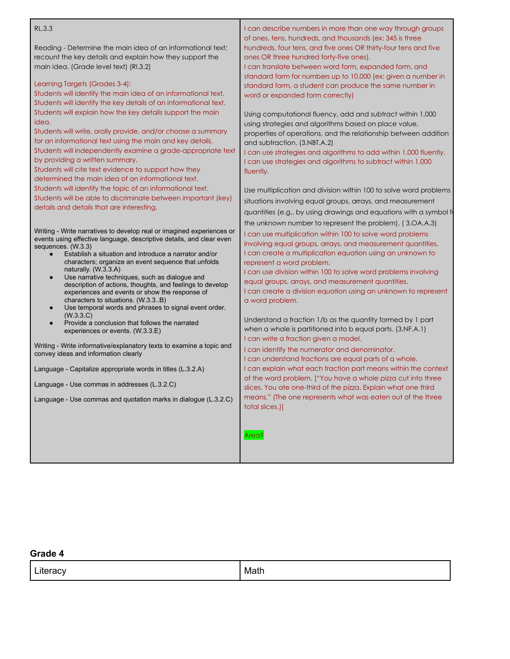| RL.3.3                                                                                                                                        | I can describe numbers in more than one way through groups<br>of ones, tens, hundreds, and thousands (ex: 345 is three |
|-----------------------------------------------------------------------------------------------------------------------------------------------|------------------------------------------------------------------------------------------------------------------------|
| Reading - Determine the main idea of an informational text;                                                                                   | hundreds, four tens, and five ones OR thirty-four tens and five                                                        |
| recount the key details and explain how they support the                                                                                      | ones OR three hundred forty-five ones).                                                                                |
| main idea. (Grade level text) (RI.3.2)                                                                                                        | I can translate between word form, expanded form, and                                                                  |
|                                                                                                                                               | standard form for numbers up to 10,000 (ex: given a number in                                                          |
| Learning Targets (Grades 3-4):<br>Students will identify the main idea of an informational text.                                              | standard form, a student can produce the same number in                                                                |
| Students will identify the key details of an informational text.                                                                              | word or expanded form correctly)                                                                                       |
| Students will explain how the key details support the main                                                                                    | Using computational fluency, add and subtract within 1,000                                                             |
| idea.                                                                                                                                         | using strategies and algorithms based on place value,                                                                  |
| Students will write, orally provide, and/or choose a summary                                                                                  | properties of operations, and the relationship between addition                                                        |
| for an informational text using the main and key details.                                                                                     | and subtraction. (3.NBT.A.2)                                                                                           |
| Students will independently examine a grade-appropriate text                                                                                  | I can use strategies and algorithms to add within 1,000 fluently.                                                      |
| by providing a written summary.                                                                                                               | I can use strategies and algorithms to subtract within 1,000                                                           |
| Students will cite text evidence to support how they                                                                                          | fluently.                                                                                                              |
| determined the main idea of an informational text.                                                                                            |                                                                                                                        |
| Students will identify the topic of an informational text.                                                                                    | Use multiplication and division within 100 to solve word problems                                                      |
| Students will be able to discriminate between important (key)<br>details and details that are interesting.                                    | situations involving equal groups, arrays, and measurement                                                             |
|                                                                                                                                               | quantities (e.g., by using drawings and equations with a symbol for                                                    |
|                                                                                                                                               | the unknown number to represent the problem). (3.0A.A.3)                                                               |
| Writing - Write narratives to develop real or imagined experiences or<br>events using effective language, descriptive details, and clear even | I can use multiplication within 100 to solve word problems                                                             |
| sequences. (W.3.3)                                                                                                                            | involving equal groups, arrays, and measurement quantities.                                                            |
| Establish a situation and introduce a narrator and/or                                                                                         | I can create a multiplication equation using an unknown to                                                             |
| characters; organize an event sequence that unfolds<br>naturally. (W.3.3.A)                                                                   | represent a word problem.                                                                                              |
| Use narrative techniques, such as dialogue and<br>$\bullet$                                                                                   | I can use division within 100 to solve word problems involving                                                         |
| description of actions, thoughts, and feelings to develop                                                                                     | equal groups, arrays, and measurement quantities.<br>I can create a division equation using an unknown to represent    |
| experiences and events or show the response of<br>characters to situations. (W.3.3.B)                                                         | a word problem.                                                                                                        |
| Use temporal words and phrases to signal event order.<br>$\bullet$                                                                            |                                                                                                                        |
| (W.3.3.C)<br>Provide a conclusion that follows the narrated                                                                                   | Understand a fraction 1/b as the quantity formed by 1 part                                                             |
| $\bullet$<br>experiences or events. (W.3.3.E)                                                                                                 | when a whole is partitioned into b equal parts. (3.NF.A.1)                                                             |
|                                                                                                                                               | I can write a fraction given a model.                                                                                  |
| Writing - Write informative/explanatory texts to examine a topic and<br>convey ideas and information clearly                                  | I can identify the numerator and denominator.                                                                          |
|                                                                                                                                               | I can understand fractions are equal parts of a whole.                                                                 |
| Language - Capitalize appropriate words in titles (L.3.2.A)                                                                                   | I can explain what each fraction part means within the context                                                         |
| Language - Use commas in addresses (L.3.2.C)                                                                                                  | of the word problem. ["You have a whole pizza cut into three                                                           |
|                                                                                                                                               | slices. You ate one-third of the pizza. Explain what one third                                                         |
| Language - Use commas and quotation marks in dialogue (L.3.2.C)                                                                               | means." (The one represents what was eaten out of the three<br>total slices.)]                                         |
|                                                                                                                                               |                                                                                                                        |
|                                                                                                                                               |                                                                                                                        |
|                                                                                                                                               | Area?                                                                                                                  |
|                                                                                                                                               |                                                                                                                        |

| .<br>∟iteracy | Math |
|---------------|------|
|---------------|------|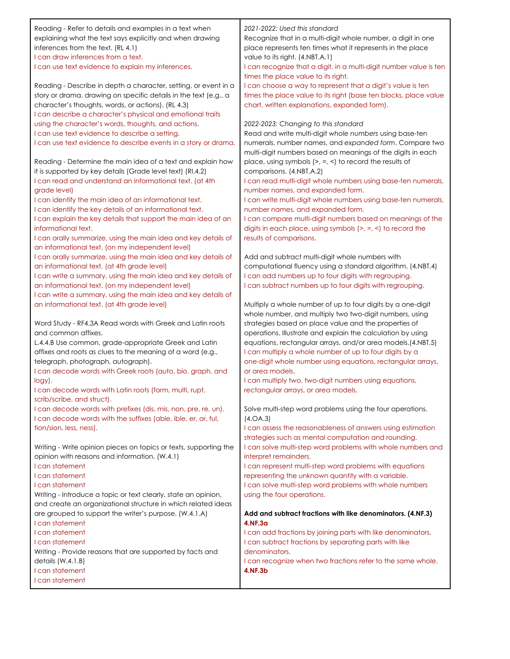| Reading - Refer to details and examples in a text when                                                                           | 2021-2022: Used this standard                                                                                          |
|----------------------------------------------------------------------------------------------------------------------------------|------------------------------------------------------------------------------------------------------------------------|
| explaining what the text says explicitly and when drawing                                                                        | Recognize that in a multi-digit whole number, a digit in one                                                           |
| inferences from the text. (RL 4.1)                                                                                               | place represents ten times what it represents in the place                                                             |
| I can draw inferences from a text.                                                                                               | value to its right. (4.NBT.A.1)                                                                                        |
| I can use text evidence to explain my inferences.                                                                                | I can recognize that a digit, in a multi-digit number value is ten<br>times the place value to its right.              |
| Reading - Describe in depth a character, setting, or event in a                                                                  | I can choose a way to represent that a digit's value is ten                                                            |
| story or drama, drawing on specific details in the text (e.g., a                                                                 | times the place value to its right (base ten blocks, place value                                                       |
| character's thoughts, words, or actions). (RL 4.3)                                                                               | chart, written explanations, expanded form).                                                                           |
| I can describe a character's physical and emotional traits                                                                       |                                                                                                                        |
| using the character's words, thoughts, and actions.                                                                              | 2022-2023: Changing to this standard                                                                                   |
| I can use text evidence to describe a setting.                                                                                   | Read and write multi-digit whole numbers using base-ten                                                                |
| I can use text evidence to describe events in a story or drama.                                                                  | numerals, number names, and expanded form. Compare two<br>multi-digit numbers based on meanings of the digits in each  |
| Reading - Determine the main idea of a text and explain how<br>it is supported by key details (Grade level text) (RI.4.2)        | place, using symbols $(> , = , <)$ to record the results of<br>comparisons. (4.NBT.A.2)                                |
| I can read and understand an informational text. (at 4th                                                                         | I can read multi-digit whole numbers using base-ten numerals,                                                          |
| grade level)                                                                                                                     | number names, and expanded form.                                                                                       |
| I can identify the main idea of an informational text.                                                                           | I can write multi-digit whole numbers using base-ten numerals,                                                         |
| I can identify the key details of an informational text.                                                                         | number names, and expanded form.                                                                                       |
| I can explain the key details that support the main idea of an                                                                   | I can compare multi-digit numbers based on meanings of the                                                             |
| informational text.<br>I can orally summarize, using the main idea and key details of                                            | digits in each place, using symbols $(> , = , <)$ to record the<br>results of comparisons.                             |
| an informational text. (on my independent level)                                                                                 |                                                                                                                        |
| I can orally summarize, using the main idea and key details of                                                                   | Add and subtract multi-digit whole numbers with                                                                        |
| an informational text. (at 4th grade level)                                                                                      | computational fluency using a standard algorithm. (4.NBT.4)                                                            |
| I can write a summary, using the main idea and key details of                                                                    | I can add numbers up to four digits with regrouping.                                                                   |
| an informational text. (on my independent level)                                                                                 | I can subtract numbers up to four digits with regrouping.                                                              |
| I can write a summary, using the main idea and key details of                                                                    |                                                                                                                        |
| an informational text. (at 4th grade level)                                                                                      | Multiply a whole number of up to four digits by a one-digit                                                            |
|                                                                                                                                  | whole number, and multiply two two-digit numbers, using                                                                |
| Word Study - RF4.3A Read words with Greek and Latin roots                                                                        | strategies based on place value and the properties of                                                                  |
| and common affixes.                                                                                                              | operations. Illustrate and explain the calculation by using                                                            |
| L.4.4.B Use common, grade-appropriate Greek and Latin<br>affixes and roots as clues to the meaning of a word (e.g.,              | equations, rectangular arrays, and/or area models.(4.NBT.5)<br>I can multiply a whole number of up to four digits by a |
| telegraph, photograph, autograph).                                                                                               | one-digit whole number using equations, rectangular arrays,                                                            |
| I can decode words with Greek roots (auto, bio, graph, and                                                                       | or area models.                                                                                                        |
| logy).                                                                                                                           | I can multiply two, two-digit numbers using equations,                                                                 |
| I can decode words with Latin roots (form, multi, rupt,                                                                          | rectangular arrays, or area models.                                                                                    |
| scrib/scribe, and struct).                                                                                                       |                                                                                                                        |
| I can decode words with prefixes (dis, mis, non, pre, re, un).<br>I can decode words with the suffixes (able, ible, er, or, ful, | Solve multi-step word problems using the four operations.<br>(4.0A.3)                                                  |
| tion/sion, less, ness).                                                                                                          | I can assess the reasonableness of answers using estimation                                                            |
|                                                                                                                                  | strategies such as mental computation and rounding.                                                                    |
| Writing - Write opinion pieces on topics or texts, supporting the                                                                | I can solve multi-step word problems with whole numbers and                                                            |
| opinion with reasons and information. (W.4.1)                                                                                    | interpret remainders.                                                                                                  |
| I can statement                                                                                                                  | I can represent multi-step word problems with equations                                                                |
| I can statement                                                                                                                  | representing the unknown quantity with a variable.                                                                     |
| I can statement                                                                                                                  | I can solve multi-step word problems with whole numbers                                                                |
| Writing - Introduce a topic or text clearly, state an opinion,<br>and create an organizational structure in which related ideas  | using the four operations.                                                                                             |
| are grouped to support the writer's purpose. (W.4.1.A)<br>I can statement                                                        | Add and subtract fractions with like denominators. (4.NF.3)<br>4.NF.3a                                                 |
| I can statement                                                                                                                  | I can add fractions by joining parts with like denominators.                                                           |
| I can statement                                                                                                                  | I can subtract fractions by separating parts with like                                                                 |
| Writing - Provide reasons that are supported by facts and                                                                        | denominators.                                                                                                          |
| details (W.4.1.B)                                                                                                                | I can recognize when two fractions refer to the same whole.                                                            |
| I can statement                                                                                                                  | 4.NF.3b                                                                                                                |
| I can statement                                                                                                                  |                                                                                                                        |